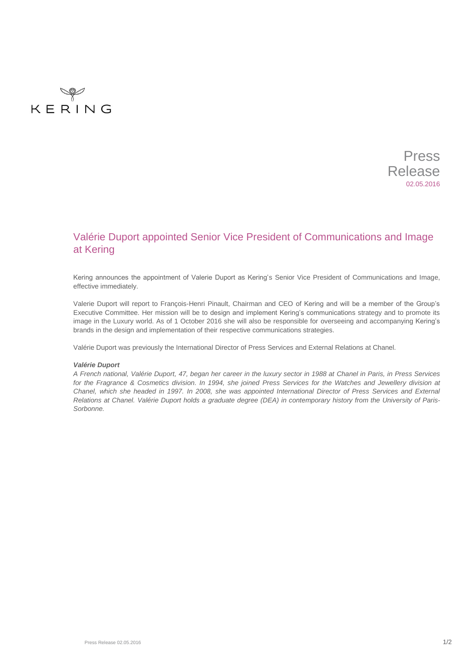



# Valérie Duport appointed Senior Vice President of Communications and Image at Kering

Kering announces the appointment of Valerie Duport as Kering's Senior Vice President of Communications and Image, effective immediately.

Valerie Duport will report to François-Henri Pinault, Chairman and CEO of Kering and will be a member of the Group's Executive Committee. Her mission will be to design and implement Kering's communications strategy and to promote its image in the Luxury world. As of 1 October 2016 she will also be responsible for overseeing and accompanying Kering's brands in the design and implementation of their respective communications strategies.

Valérie Duport was previously the International Director of Press Services and External Relations at Chanel.

### *Valérie Duport*

*A French national, Valérie Duport, 47, began her career in the luxury sector in 1988 at Chanel in Paris, in Press Services for the Fragrance & Cosmetics division. In 1994, she joined Press Services for the Watches and Jewellery division at Chanel, which she headed in 1997. In 2008, she was appointed International Director of Press Services and External Relations at Chanel. Valérie Duport holds a graduate degree (DEA) in contemporary history from the University of Paris-Sorbonne.*